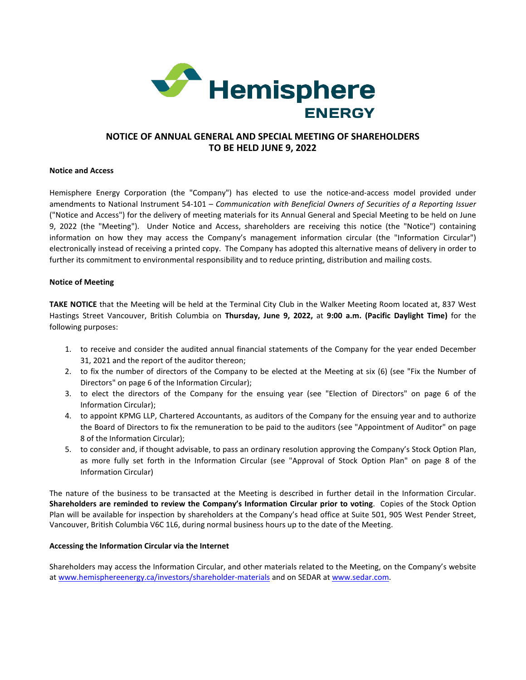

# **NOTICE OF ANNUAL GENERAL AND SPECIAL MEETING OF SHAREHOLDERS TO BE HELD JUNE 9, 2022**

## **Notice and Access**

Hemisphere Energy Corporation (the "Company") has elected to use the notice-and-access model provided under amendments to National Instrument 54-101 – *Communication with Beneficial Owners of Securities of a Reporting Issuer* ("Notice and Access") for the delivery of meeting materials for its Annual General and Special Meeting to be held on June 9, 2022 (the "Meeting"). Under Notice and Access, shareholders are receiving this notice (the "Notice") containing information on how they may access the Company's management information circular (the "Information Circular") electronically instead of receiving a printed copy. The Company has adopted this alternative means of delivery in order to further its commitment to environmental responsibility and to reduce printing, distribution and mailing costs.

## **Notice of Meeting**

**TAKE NOTICE** that the Meeting will be held at the Terminal City Club in the Walker Meeting Room located at, 837 West Hastings Street Vancouver, British Columbia on **Thursday, June 9, 2022,** at **9:00 a.m. (Pacific Daylight Time)** for the following purposes:

- 1. to receive and consider the audited annual financial statements of the Company for the year ended December 31, 2021 and the report of the auditor thereon;
- 2. to fix the number of directors of the Company to be elected at the Meeting at six (6) (see "Fix the Number of Directors" on page 6 of the Information Circular);
- 3. to elect the directors of the Company for the ensuing year (see "Election of Directors" on page 6 of the Information Circular);
- 4. to appoint KPMG LLP, Chartered Accountants, as auditors of the Company for the ensuing year and to authorize the Board of Directors to fix the remuneration to be paid to the auditors (see "Appointment of Auditor" on page 8 of the Information Circular);
- 5. to consider and, if thought advisable, to pass an ordinary resolution approving the Company's Stock Option Plan, as more fully set forth in the Information Circular (see "Approval of Stock Option Plan" on page 8 of the Information Circular)

The nature of the business to be transacted at the Meeting is described in further detail in the Information Circular. **Shareholders are reminded to review the Company's Information Circular prior to voting**. Copies of the Stock Option Plan will be available for inspection by shareholders at the Company's head office at Suite 501, 905 West Pender Street, Vancouver, British Columbia V6C 1L6, during normal business hours up to the date of the Meeting.

## **Accessing the Information Circular via the Internet**

Shareholders may access the Information Circular, and other materials related to the Meeting, on the Company's website at www.hemisphereenergy.ca/investors/shareholder-materials and on SEDAR at www.sedar.com.